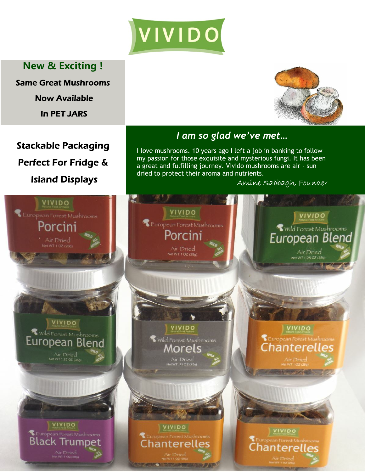

**New & Exciting !**

**Same Great Mushrooms** 

**Now Available** 

**In PET JARS** 

**Stackable Packaging** 

Perfect For Fridge &





## *I am so glad we've met…*

I love mushrooms. 10 years ago I left a job in banking to follow my passion for those exquisite and mysterious fungi. It has been a great and fulfilling journey. Vivido mushrooms are air - sun dried to protect their aroma and nutrients.

Amine Sabbagh, Founder